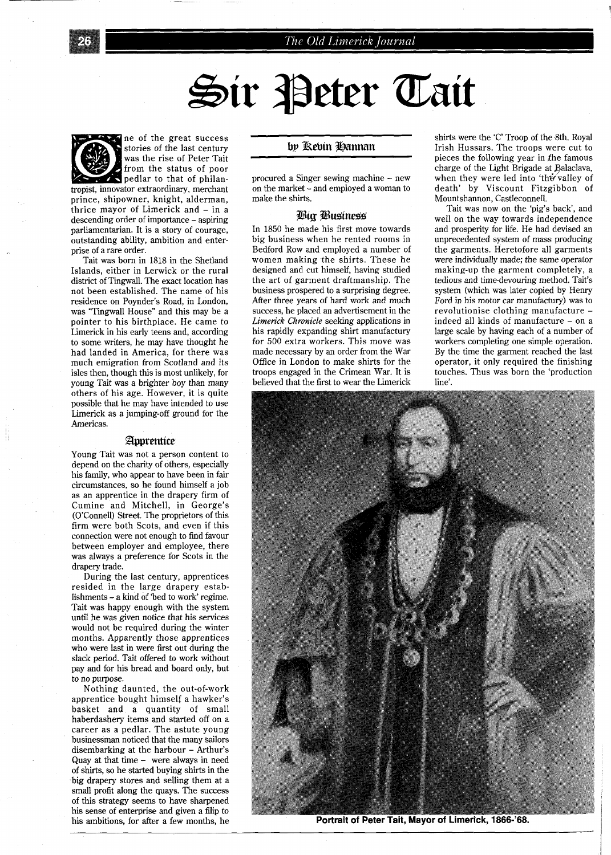# The Old Limerick Journal

# Sir Peter Tait



ne of the great success stories of the last century was the rise of Peter Tait from the status of poor pedlar to that of philan-

tropist, innovator extraordinary, merchant prince, shipowner, knight, alderman, thrice mayor of Limerick and - in a descending order of importance - aspiring parliamentarian. It is a story of courage, outstanding ability, ambition and enterprise of a rare order.

Tait was born in 1818 in the Shetland Islands, either in Lerwick or the rural district of Tingwall. The exact location has not been established. The name of his residence on Poynder's Road, in London, was "Tingwall House" and this may be a pointer to his birthplace. He came to Limerick in his early teens and, according to some writers, he may have thought he had landed in America, for there was much emigration from Scotland and its isles then, though this is most unlikely, for young Tait was a brighter boy than many others of his age. However, it is quite possible that he may have intended to use Limerick as a jumping-off ground for the Americas.

#### Apprentice

Young Tait was not a person content to depend on the charity of others, especially his family, who appear to have been in fair circumstances, so he found himself a job as an apprentice in the drapery firm of Cumine and Mitchell, in George's (O'Connell) Street. The proprietors of this firm were both Scots, and even if this connection were not enough to find favour between employer and employee, there was always a preference for Scots in the drapery trade.

During the last century, apprentices resided in the large drapery establishments - a kind of 'bed to work' regime. Tait was happy enough with the system until he was given notice that his services would not be required during the winter months. Apparently those apprentices who were last in were first out during the slack period. Tait offered to work without pay and for his bread and board only, but to no purpose.

Nothing daunted, the out-of-work apprentice bought himself a hawker's basket and a quantity of small haberdashery items and started off on a career as a pedlar. The astute young businessman noticed that the many sailors disembarking at the harbour - Arthur's Quay at that time - were always in need of shirts, so he started buying shirts in the big drapery stores and selling them at a small profit along the quays. The success of this strategy seems to have sharpened his sense of enterprise and given a filip to his ambitions, for after a few months, he

## bp Rebin Hannan

procured a Singer sewing machine - new on the market - and employed a woman to make the shirts.

#### *Pig Pu\$ine\$\$*

In 1850 he made his first move towards big business when he rented rooms in Bedford Row and employed a number of women making the shirts. These he designed and cut himself, having studied the art of garment draftmanship. The business prospered to a surprising degree. After three years of hard work and much success, he placed an advertisement in the *Limetick* Chronicle seeking applications in his rapidly expanding shirt manufactury for 500 extra workers. This move was made necessary by an order from the War Office in London to make shirts for the troops engaged in the Crimean War. It is believed that the first to wear the Limerick shirts were the 'C' Troop of the 8th. Royal Irish Hussars. The troops were cut to pieces the following year in the famous charge of the Light Brigade at Balaclava, when they were led into 'the valley of death' by Viscount Fitzgibbon of Mountshannon, Castleconnell.

Tait was now on the 'pig's back', and well on the way towards independence and prosperity for life. He had devised an unprecedented system of mass producing the garments. Heretofore all garments were individually made; the same operator making-up the garment completely, a tedious and time-devouring method. Tait's system (which was later copied by Henry Ford in his motor car manufactury) was to revolutionise clothing manufacture indeed all kinds of manufacture - on a large scale by having each of a number of workers completing one simple operation. By the time the garment reached the last operator, it only required the finishing touches. Thus was born the 'production line'.



Portrait of Peter Tait, Mayor of Limerick, 1866-'68.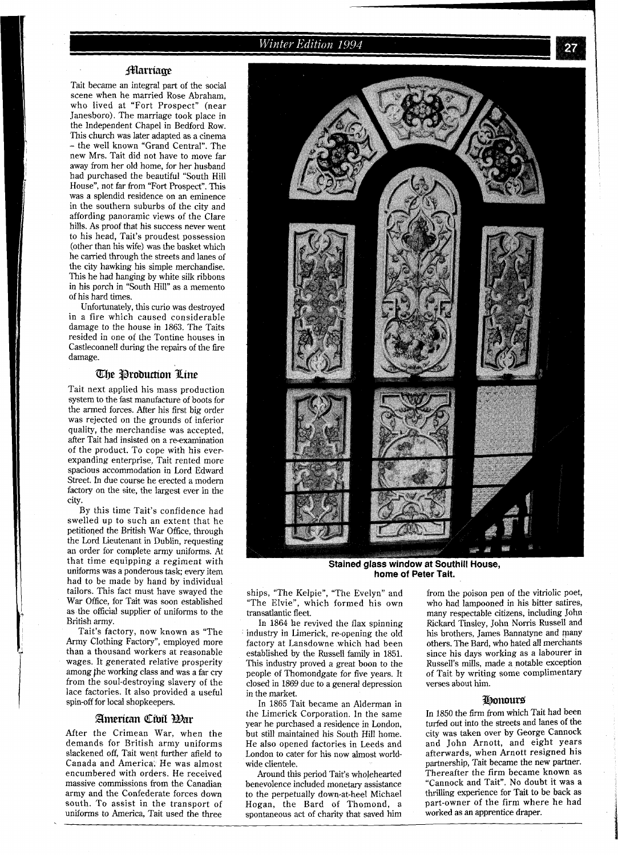# **Marriage**

Tait became an integral part of the social scene when he married Rose Abraham, who lived at "Fort Prospect" (near Janesboro). The marriage took place in the Independent Chapel in Bedford Row. This church was later adapted as a cinema - the well known "Grand Central". The new Mrs. Tait did not have to move far away from her old home, for her husband had purchased the beautiful "South Hill House", not far from "Fort Prospect". This was a splendid residence on an eminence in the southern suburbs of the city and affording panoramic views of the Clare hills. As proof that his success never went to his head, Tait's proudest possession (other than his wife) was the basket which he carried through the streets and lanes of the city hawking his simple merchandise. This he had hanging by white silk ribbons in his porch in "South Hill" as a memento of his hard times.

Unfortunately, this curio was destroyed in a fire which caused considerable damage to the house in 1863. The Taits resided in one of the Tontine houses in Castleconnell during the repairs of the fire damage.

## **The Production Line**

Tait next applied his mass production system to the fast manufacture of boots for the armed forces. After his first big order was rejected on the grounds of inferior quality, the merchandise was accepted, after Tait had insisted on a re-examination of the product. To cope with his everexpanding enterprise, Tait rented more spacious accommodation in Lord Edward Street. In due course he erected a modem factory on the site, the largest ever in the city.

By this time Tait's confidence had swelled up to such an extent that he petitioqed the British War Office, through the Lord Lieutenant in Dublin, requesting an order for complete army uniforms. At that time equipping a regiment with uniforms was a ponderous task; every item had to be made by hand by individual tailors. This fact must have swayed the War Office, for Tait was soon established as the official supplier of uniforms to the British army.

Tait's factory, now known as "The Army Clothing Factory", employed more than a thousand workers at reasonable wages. It generated relative prosperity among the working class and was a far cry from the soul-destroying slavery of the lace factories. It also provided a useful spin-off for local shopkeepers.

#### American Cibil Har

After the Crimean War, when the demands for British army uniforms slackened off, Tait went further afield to Canada and America. He was almost encumbered with orders. He received massive commissions from the Canadian army and the Confederate forces down south. To assist in the transport of uniforms to America, Tait used the three



Stained glass window at Southill House, **home of Peter Tait.** 

ships, "The Kelpie", "The Evelyn" and "The Elvie", which formed his own transatlantic fleet.

In 1864 he revived the flax spinning industry in Limerick, re-opening the old factory at Lansdowne which had been established by the Russell family in 1851. This industry proved a great boon to the people of Thomondgate for five years. It closed in 1869 due to a general depression in the market.

In 1865 Tait became an Alderman in<br>the Limerick Corporation. In the same but still maintained his South Hill home.<br>He also opened factories in Leeds and London to cater for his now almost world-<br>wide clientele.

benevolence included monetary assistance "Cannock and Tait". No doubt it was a<br>to the perpetually down-at-heel Michael thrilling experience for Tait to be back as to the perpetually down-at-heel Michael thrilling experience for Tait to be back as<br>Hogan, the Bard of Thomond, a part-owner of the firm where he had Hogan, the Bard of Thomond, a part-owner of the firm when<br>spontaneous act of charity that saved him worked as an apprentice draper. spontaneous act of charity that saved him

from the poison pen of the vitriolic poet, who had lampooned in his bitter satires, many respectable citizens, including John Rickard Tinsley, John Norris Russell and his brothers, James Bannatyne and many others. The Bard, who hated all merchants since his days working as a labourer in Russell's mills, made a notable exception of Tait by writing some complimentary verses about him.

## **Honours**

In 1850 the firm from which Tait had been year he purchased a residence in London, turfed out into the streets and lanes of the and John Arnott, and eight years<br>afterwards, when Arnott resigned his partnership, Tait became the new partner.<br>Thereafter the firm became known as Around this period Tait's wholehearted Thereafter the firm became known as<br>nevolence included monetary assistance "Cannock and Tait". No doubt it was a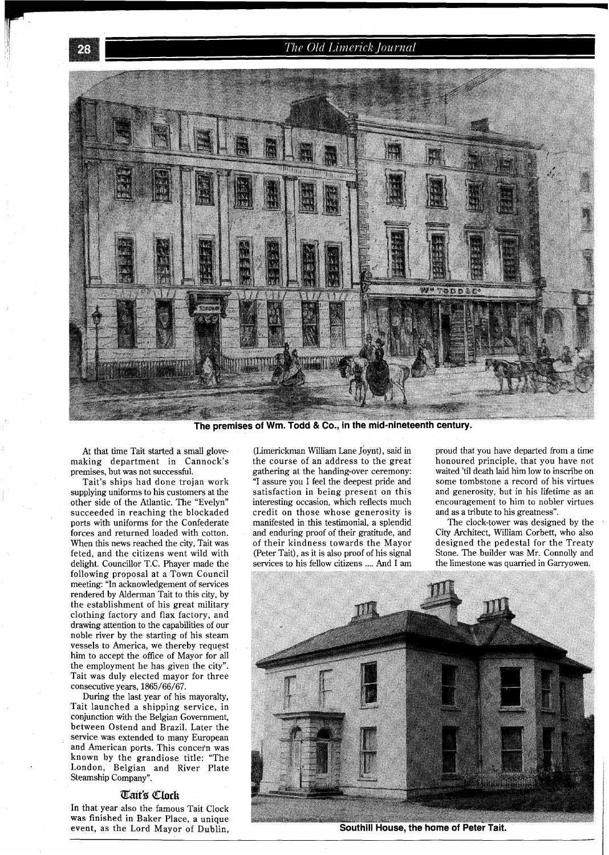# The Old Limerick Journal



The premises of Wm. Todd & Co., in the mid-nineteenth century.

At that time Tait started a small glovemaking department in Cannock's premises, but was not successful.

Tait's ships had done trojan work supplying uniforms to his customers at the other side of the Atlantic. The "Evelyn" succeeded in reaching the blockaded ports with uniforms for the Confederate forces and returned loaded with cotton. When this news reached the city, Tait was feted, and the citizens went wild with delight. Councillor T.C. Phayer made the following proposal at a Town Council meeting: "In acknowledgement of services rendered by Alderman Tait to this city, by the establishment of his great military clothing factory and flax factory, and drawing attention to the capabilities of our noble river by the starting of his steam vessels to America, we thereby request him to accept the office of Mayor for all the employment he has given the city". Tait was duly elected mayor for three consecutive years, 1865/66/67.

During the last year of his mayoralty, Tait launched a shipping service, in conjunction with the Belgian Government, between Ostend and Brazil. Later the service was extended to many European and American ports. This concern was known by the grandiose title: "The London, Belgian and River Plate Steamship Company".

#### **%it% Chck**

In that year also the famous Tait Clock was finished in Baker Place, a unique event, as the Lord Mayor of Dublin,

(Limerickman William Lane Joynt), said in the course of an address to the great gathering at the handing-over ceremony: "I assure you I feel the deepest pride and satisfaction in being present on this interesting occasion, which reflects much credit on those whose generosity is manifested in this testimonial, a splendid and enduring proof of their gratitude, and of their kindness towards the Mayor (Peter Tait), as it is also proof of his signal services to his fellow citizens .... And I am

proud that you have departed from a time honoured principle, that you have not waited 'til death laid him low to inscribe on some tombstone a record of his virtues and generosity, but in his lifetime as an encouragement to him to nobler virtues and as a tribute to his greatness".

The clock-tower was designed by the City Architect, William Corbett, who also designed the pedestal for the Treaty Stone. The builder was Mr. Connolly and the limestone was quarried in Garryowen.



Southill House, the home of Peter Tait.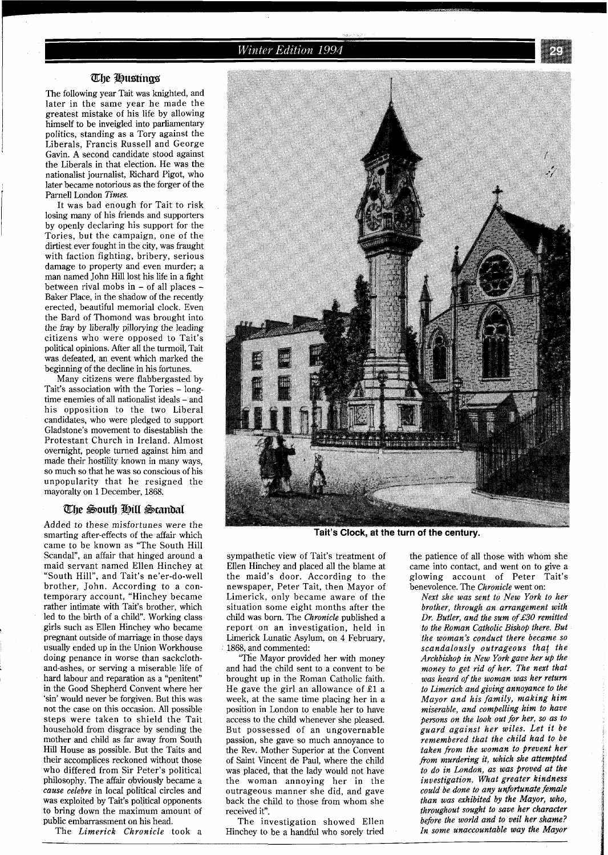Winter Edition 1994

#### **me Busting\$**

The following year Tait was knighted, and later in the same year he made the greatest mistake of his life by allowing himself to be inveigled into parliamentary politics, standing as a Tory against the Liberals, Francis Russell and George Gavin. A second candidate stood against the Liberals in that election. He was the nationalist journalist, Richard Pigot, who later became notorious as the forger of the Parnell London *Times.* 

It was bad enough for Tait to risk losing many of his friends and supporters by openly declaring his support for the Tories, but the campaign, one of the dirtiest ever fought in the city, was fraught with faction fighting, bribery, serious damage to property and even murder; a man named John Hill lost his life in a fight between rival mobs in - of all places - Baker Place, in the shadow of the recently erected, beautiful memorial clock. Even the Bard of Thomond was brought into the fray by liberally pillorying the leading citizens who were opposed to Tait's political opinions. After all the turmoil, Tait was defeated, an event which marked the beginning of the decline in his fortunes.

Many citizens were flabbergasted by Tait's association with the Tories - longtime enemies of all nationalist ideals - and his opposition to the two Liberal candidates, who were pledged to support Gladstone's movement to disestablish the Protestant Church in Ireland. Almost overnight, people turned against him and made their hostility known in many ways, so much so that he was so conscious of his unpopularity that he resigned the mayoralty on 1 December, 1868.

## The South Hill Scandal

Added to these misfortunes were the smarting after-effects of the affair which came to be known as "The South Hill Scandal", an affair that hinged around a maid servant named Ellen Hinchey at "South Hill", and Tait's ne'er-do-well brother, John. According to a contemporary account, "Hinchey became rather intimate with Tait's brother, which led to the birth of a child". Working class girls such as Ellen Hinchey who became pregnant outside of marriage in those days usually ended up in the Union Workhouse doing penance in worse than sackclothand-ashes, or serving a miserable life of hard labour and reparation as a "penitent" in the Good Shepherd Convent where her 'sin' would never be forgiven. But this was not the case on this occasion. All possible steps were taken to shield the Tait household from disgrace by sending the mother and child as far away from South Hill House as possible. But the Taits and their accomplices reckoned without those who differed from Sir Peter's political philosophy. The affair obviously became a *cause celebre* in local political circles and was exploited by Tait's political opponents to bring down the maximum amount of public embarrassment on his head.

The *Limerick Chronicle* took a



**Tait's Clock, at the turn of the century.** 

sympathetic view of Tait's treatment of Ellen Hinchey and placed all the blame at the maid's door. According to the newspaper, Peter Tait, then Mayor of Limerick, only became aware of the situation some eight months after the child was born. The *Chronicle* published a report on an investigation, held in Limerick Lunatic Asylum, on 4 February, 1868, and commented:

'The Mayor provided her with money and had the child sent to a convent to be brought up in the Roman Catholic faith. He gave the girl an allowance of El a week, at the same time placing her in a position in London to enable her to have access to the child whenever she pleased. But possessed of an ungovernable passion, she gave so much annoyance to the Rev. Mother Superior at the Convent of Saint Vincent de Paul, where the child was placed, that the lady would not have the woman annoying her in the outrageous manner she did, and gave back the child to those from whom she received it".

The investigation showed Ellen Hinchey to be a handful who sorely tried

the patience of all those with whom she came into contact, and went on to give a glowing account of Peter Tait's benevolence. The *Chronicle* went on:

*Next she was sent to New York to her brother, through an arrangement with Dr. Butler, and the sum of* £30 *remitted to the Roman Catholic Bishop there. But the woman's conduct there became so scandalously outrageous that the Archbishop in New York gave her up the money to get rid of her. The next that was heard of the woman was her return to Limerick and giving annoyance to the Mayor and his family, making him miserable, and compelling him to have \$ersons on the look out for her, so as to guard against her wiles. Let it be remembered that the child had to be taken from the woman to prevent her fiom murdering it, which she attempted to do in London, as was proved at the investigation. What greater kindness could be done to any unfortunate female than was exhibited by the Mayor, who, throughout sought to save her character before the world and to veil her shame? In some unaccountable way the Mayor*